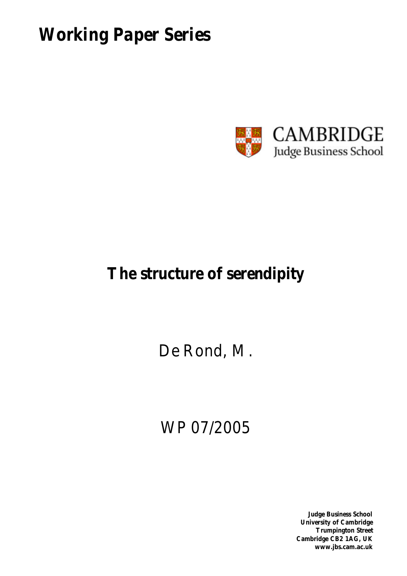*Working Paper Series*



## **The structure of serendipity**

De Rond, M.

# WP 07/2005

**Judge Business School University of Cambridge Trumpington Street Cambridge CB2 1AG, UK www.jbs.cam.ac.uk**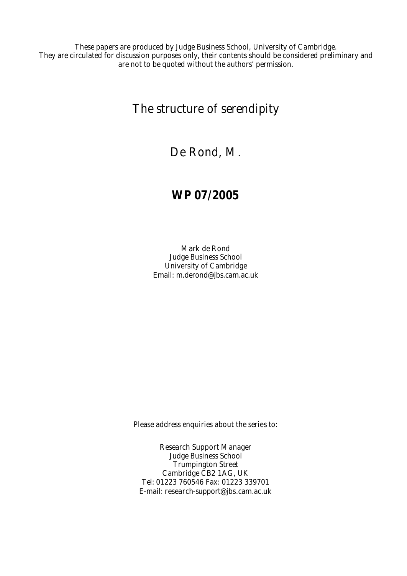These papers are produced by Judge Business School, University of Cambridge. They are circulated for discussion purposes only, their contents should be considered preliminary and are not to be quoted without the authors' permission.

The structure of serendipity

De Rond, M.

### **WP 07/2005**

Mark de Rond Judge Business School University of Cambridge Email: m.derond@jbs.cam.ac.uk

Please address enquiries about the series to:

Research Support Manager Judge Business School Trumpington Street Cambridge CB2 1AG, UK Tel: 01223 760546 Fax: 01223 339701 E-mail: research-support@jbs.cam.ac.uk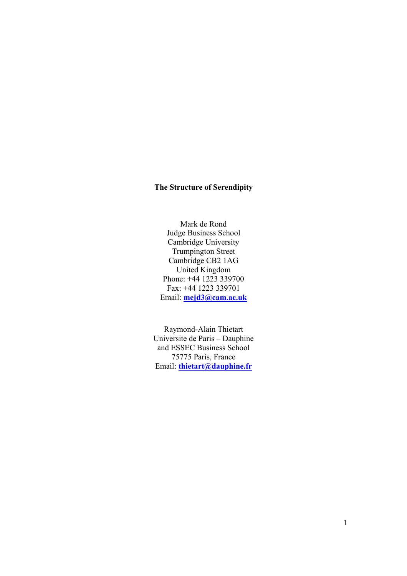### **The Structure of Serendipity**

Mark de Rond Judge Business School Cambridge University Trumpington Street Cambridge CB2 1AG United Kingdom Phone: +44 1223 339700 Fax: +44 1223 339701 Email: **mejd3@cam.ac.uk**

Raymond-Alain Thietart Universite de Paris – Dauphine and ESSEC Business School 75775 Paris, France Email: **thietart@dauphine.fr**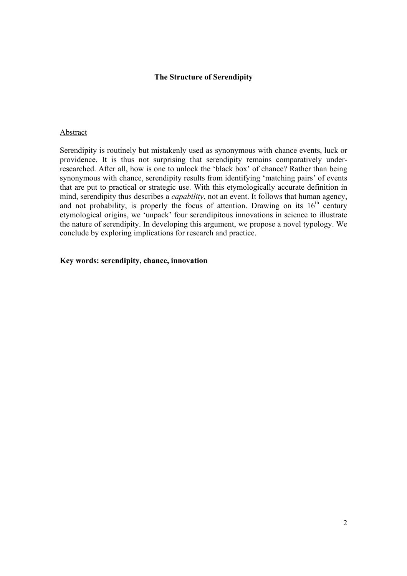#### **The Structure of Serendipity**

#### Abstract

Serendipity is routinely but mistakenly used as synonymous with chance events, luck or providence. It is thus not surprising that serendipity remains comparatively underresearched. After all, how is one to unlock the 'black box' of chance? Rather than being synonymous with chance, serendipity results from identifying 'matching pairs' of events that are put to practical or strategic use. With this etymologically accurate definition in mind, serendipity thus describes a *capability*, not an event. It follows that human agency, and not probability, is properly the focus of attention. Drawing on its  $16<sup>th</sup>$  century etymological origins, we 'unpack' four serendipitous innovations in science to illustrate the nature of serendipity. In developing this argument, we propose a novel typology. We conclude by exploring implications for research and practice.

#### **Key words: serendipity, chance, innovation**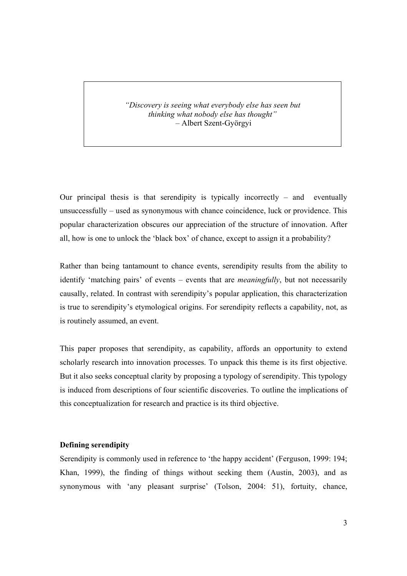*"Discovery is seeing what everybody else has seen but thinking what nobody else has thought" –* Albert Szent-Györgyi

Our principal thesis is that serendipity is typically incorrectly – and eventually unsuccessfully – used as synonymous with chance coincidence, luck or providence. This popular characterization obscures our appreciation of the structure of innovation. After all, how is one to unlock the 'black box' of chance, except to assign it a probability?

Rather than being tantamount to chance events, serendipity results from the ability to identify 'matching pairs' of events – events that are *meaningfully*, but not necessarily causally, related. In contrast with serendipity's popular application, this characterization is true to serendipity's etymological origins. For serendipity reflects a capability, not, as is routinely assumed, an event.

This paper proposes that serendipity, as capability, affords an opportunity to extend scholarly research into innovation processes. To unpack this theme is its first objective. But it also seeks conceptual clarity by proposing a typology of serendipity. This typology is induced from descriptions of four scientific discoveries. To outline the implications of this conceptualization for research and practice is its third objective.

#### **Defining serendipity**

Serendipity is commonly used in reference to 'the happy accident' (Ferguson, 1999: 194; Khan, 1999), the finding of things without seeking them (Austin, 2003), and as synonymous with 'any pleasant surprise' (Tolson, 2004: 51), fortuity, chance,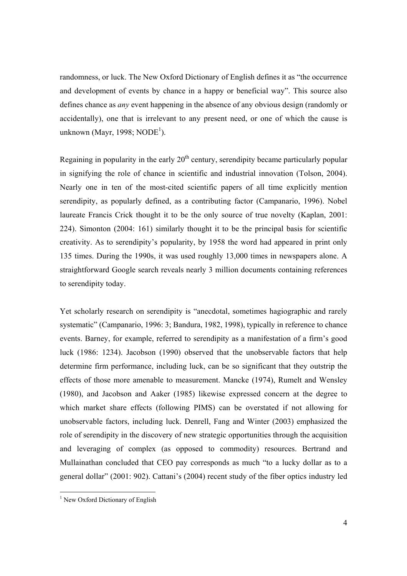randomness, or luck. The New Oxford Dictionary of English defines it as "the occurrence and development of events by chance in a happy or beneficial way". This source also defines chance as *any* event happening in the absence of any obvious design (randomly or accidentally), one that is irrelevant to any present need, or one of which the cause is unknown (Mayr, 1998; NODE<sup>1</sup>).

Regaining in popularity in the early  $20<sup>th</sup>$  century, serendipity became particularly popular in signifying the role of chance in scientific and industrial innovation (Tolson, 2004). Nearly one in ten of the most-cited scientific papers of all time explicitly mention serendipity, as popularly defined, as a contributing factor (Campanario, 1996). Nobel laureate Francis Crick thought it to be the only source of true novelty (Kaplan, 2001: 224). Simonton (2004: 161) similarly thought it to be the principal basis for scientific creativity. As to serendipity's popularity, by 1958 the word had appeared in print only 135 times. During the 1990s, it was used roughly 13,000 times in newspapers alone. A straightforward Google search reveals nearly 3 million documents containing references to serendipity today.

Yet scholarly research on serendipity is "anecdotal, sometimes hagiographic and rarely systematic" (Campanario, 1996: 3; Bandura, 1982, 1998), typically in reference to chance events. Barney, for example, referred to serendipity as a manifestation of a firm's good luck (1986: 1234). Jacobson (1990) observed that the unobservable factors that help determine firm performance, including luck, can be so significant that they outstrip the effects of those more amenable to measurement. Mancke (1974), Rumelt and Wensley (1980), and Jacobson and Aaker (1985) likewise expressed concern at the degree to which market share effects (following PIMS) can be overstated if not allowing for unobservable factors, including luck. Denrell, Fang and Winter (2003) emphasized the role of serendipity in the discovery of new strategic opportunities through the acquisition and leveraging of complex (as opposed to commodity) resources. Bertrand and Mullainathan concluded that CEO pay corresponds as much "to a lucky dollar as to a general dollar" (2001: 902). Cattani's (2004) recent study of the fiber optics industry led

 $\overline{a}$ 

<sup>&</sup>lt;sup>1</sup> New Oxford Dictionary of English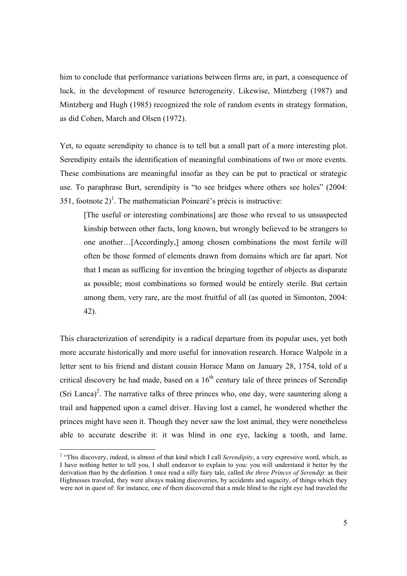him to conclude that performance variations between firms are, in part, a consequence of luck, in the development of resource heterogeneity. Likewise, Mintzberg (1987) and Mintzberg and Hugh (1985) recognized the role of random events in strategy formation, as did Cohen, March and Olsen (1972).

Yet, to equate serendipity to chance is to tell but a small part of a more interesting plot. Serendipity entails the identification of meaningful combinations of two or more events. These combinations are meaningful insofar as they can be put to practical or strategic use. To paraphrase Burt, serendipity is "to see bridges where others see holes" (2004: 351, footnote  $2)^{1}$ . The mathematician Poincaré's précis is instructive:

[The useful or interesting combinations] are those who reveal to us unsuspected kinship between other facts, long known, but wrongly believed to be strangers to one another…[Accordingly,] among chosen combinations the most fertile will often be those formed of elements drawn from domains which are far apart. Not that I mean as sufficing for invention the bringing together of objects as disparate as possible; most combinations so formed would be entirely sterile. But certain among them, very rare, are the most fruitful of all (as quoted in Simonton, 2004: 42).

This characterization of serendipity is a radical departure from its popular uses, yet both more accurate historically and more useful for innovation research. Horace Walpole in a letter sent to his friend and distant cousin Horace Mann on January 28, 1754, told of a critical discovery he had made, based on a  $16<sup>th</sup>$  century tale of three princes of Serendip (Sri Lanca)<sup>2</sup>. The narrative talks of three princes who, one day, were sauntering along a trail and happened upon a camel driver. Having lost a camel, he wondered whether the princes might have seen it. Though they never saw the lost animal, they were nonetheless able to accurate describe it: it was blind in one eye, lacking a tooth, and lame.

<sup>&</sup>lt;sup>2</sup> "This discovery, indeed, is almost of that kind which I call *Serendipity*, a very expressive word, which, as I have nothing better to tell you, I shall endeavor to explain to you: you will understand it better by the derivation than by the definition. I once read a silly fairy tale, called *the three Princes of Serendip*: as their Highnesses traveled, they were always making discoveries, by accidents and sagacity, of things which they were not in quest of: for instance, one of them discovered that a mule blind to the right eye had traveled the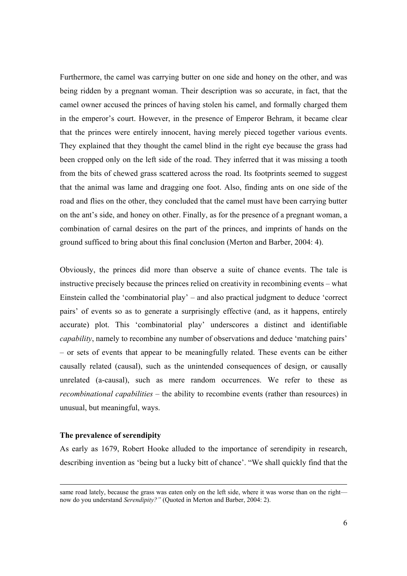Furthermore, the camel was carrying butter on one side and honey on the other, and was being ridden by a pregnant woman. Their description was so accurate, in fact, that the camel owner accused the princes of having stolen his camel, and formally charged them in the emperor's court. However, in the presence of Emperor Behram, it became clear that the princes were entirely innocent, having merely pieced together various events. They explained that they thought the camel blind in the right eye because the grass had been cropped only on the left side of the road. They inferred that it was missing a tooth from the bits of chewed grass scattered across the road. Its footprints seemed to suggest that the animal was lame and dragging one foot. Also, finding ants on one side of the road and flies on the other, they concluded that the camel must have been carrying butter on the ant's side, and honey on other. Finally, as for the presence of a pregnant woman, a combination of carnal desires on the part of the princes, and imprints of hands on the ground sufficed to bring about this final conclusion (Merton and Barber, 2004: 4).

Obviously, the princes did more than observe a suite of chance events. The tale is instructive precisely because the princes relied on creativity in recombining events – what Einstein called the 'combinatorial play' – and also practical judgment to deduce 'correct pairs' of events so as to generate a surprisingly effective (and, as it happens, entirely accurate) plot. This 'combinatorial play' underscores a distinct and identifiable *capability*, namely to recombine any number of observations and deduce 'matching pairs' – or sets of events that appear to be meaningfully related. These events can be either causally related (causal), such as the unintended consequences of design, or causally unrelated (a-causal), such as mere random occurrences. We refer to these as *recombinational capabilities* – the ability to recombine events (rather than resources) in unusual, but meaningful, ways.

#### **The prevalence of serendipity**

As early as 1679, Robert Hooke alluded to the importance of serendipity in research, describing invention as 'being but a lucky bitt of chance'. "We shall quickly find that the

same road lately, because the grass was eaten only on the left side, where it was worse than on the right now do you understand *Serendipity?"* (Quoted in Merton and Barber, 2004: 2).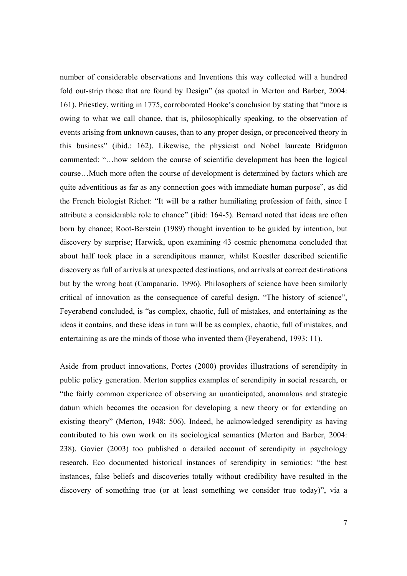number of considerable observations and Inventions this way collected will a hundred fold out-strip those that are found by Design" (as quoted in Merton and Barber, 2004: 161). Priestley, writing in 1775, corroborated Hooke's conclusion by stating that "more is owing to what we call chance, that is, philosophically speaking, to the observation of events arising from unknown causes, than to any proper design, or preconceived theory in this business" (ibid.: 162). Likewise, the physicist and Nobel laureate Bridgman commented: "…how seldom the course of scientific development has been the logical course…Much more often the course of development is determined by factors which are quite adventitious as far as any connection goes with immediate human purpose", as did the French biologist Richet: "It will be a rather humiliating profession of faith, since I attribute a considerable role to chance" (ibid: 164-5). Bernard noted that ideas are often born by chance; Root-Berstein (1989) thought invention to be guided by intention, but discovery by surprise; Harwick, upon examining 43 cosmic phenomena concluded that about half took place in a serendipitous manner, whilst Koestler described scientific discovery as full of arrivals at unexpected destinations, and arrivals at correct destinations but by the wrong boat (Campanario, 1996). Philosophers of science have been similarly critical of innovation as the consequence of careful design. "The history of science", Feyerabend concluded, is "as complex, chaotic, full of mistakes, and entertaining as the ideas it contains, and these ideas in turn will be as complex, chaotic, full of mistakes, and entertaining as are the minds of those who invented them (Feyerabend, 1993: 11).

Aside from product innovations, Portes (2000) provides illustrations of serendipity in public policy generation. Merton supplies examples of serendipity in social research, or "the fairly common experience of observing an unanticipated, anomalous and strategic datum which becomes the occasion for developing a new theory or for extending an existing theory" (Merton, 1948: 506). Indeed, he acknowledged serendipity as having contributed to his own work on its sociological semantics (Merton and Barber, 2004: 238). Govier (2003) too published a detailed account of serendipity in psychology research. Eco documented historical instances of serendipity in semiotics: "the best instances, false beliefs and discoveries totally without credibility have resulted in the discovery of something true (or at least something we consider true today)", via a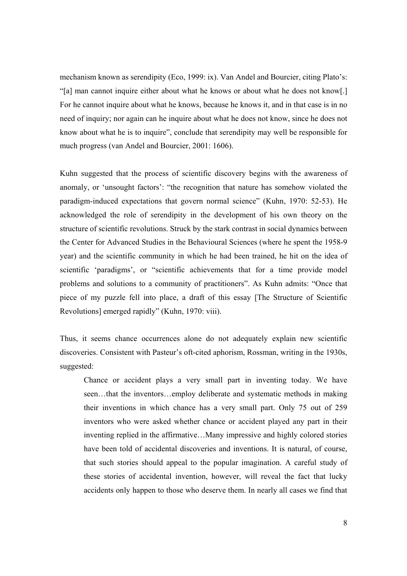mechanism known as serendipity (Eco, 1999: ix). Van Andel and Bourcier, citing Plato's: "[a] man cannot inquire either about what he knows or about what he does not know[.] For he cannot inquire about what he knows, because he knows it, and in that case is in no need of inquiry; nor again can he inquire about what he does not know, since he does not know about what he is to inquire", conclude that serendipity may well be responsible for much progress (van Andel and Bourcier, 2001: 1606).

Kuhn suggested that the process of scientific discovery begins with the awareness of anomaly, or 'unsought factors': "the recognition that nature has somehow violated the paradigm-induced expectations that govern normal science" (Kuhn, 1970: 52-53). He acknowledged the role of serendipity in the development of his own theory on the structure of scientific revolutions. Struck by the stark contrast in social dynamics between the Center for Advanced Studies in the Behavioural Sciences (where he spent the 1958-9 year) and the scientific community in which he had been trained, he hit on the idea of scientific 'paradigms', or "scientific achievements that for a time provide model problems and solutions to a community of practitioners". As Kuhn admits: "Once that piece of my puzzle fell into place, a draft of this essay [The Structure of Scientific Revolutions] emerged rapidly" (Kuhn, 1970: viii).

Thus, it seems chance occurrences alone do not adequately explain new scientific discoveries. Consistent with Pasteur's oft-cited aphorism, Rossman, writing in the 1930s, suggested:

Chance or accident plays a very small part in inventing today. We have seen…that the inventors…employ deliberate and systematic methods in making their inventions in which chance has a very small part. Only 75 out of 259 inventors who were asked whether chance or accident played any part in their inventing replied in the affirmative…Many impressive and highly colored stories have been told of accidental discoveries and inventions. It is natural, of course, that such stories should appeal to the popular imagination. A careful study of these stories of accidental invention, however, will reveal the fact that lucky accidents only happen to those who deserve them. In nearly all cases we find that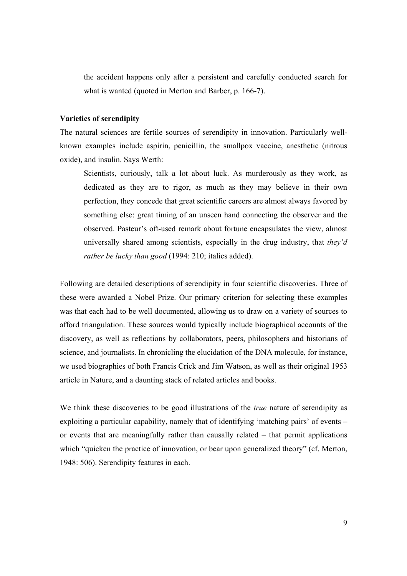the accident happens only after a persistent and carefully conducted search for what is wanted (quoted in Merton and Barber, p. 166-7).

#### **Varieties of serendipity**

The natural sciences are fertile sources of serendipity in innovation. Particularly wellknown examples include aspirin, penicillin, the smallpox vaccine, anesthetic (nitrous oxide), and insulin. Says Werth:

Scientists, curiously, talk a lot about luck. As murderously as they work, as dedicated as they are to rigor, as much as they may believe in their own perfection, they concede that great scientific careers are almost always favored by something else: great timing of an unseen hand connecting the observer and the observed. Pasteur's oft-used remark about fortune encapsulates the view, almost universally shared among scientists, especially in the drug industry, that *they'd rather be lucky than good* (1994: 210; italics added).

Following are detailed descriptions of serendipity in four scientific discoveries. Three of these were awarded a Nobel Prize. Our primary criterion for selecting these examples was that each had to be well documented, allowing us to draw on a variety of sources to afford triangulation. These sources would typically include biographical accounts of the discovery, as well as reflections by collaborators, peers, philosophers and historians of science, and journalists. In chronicling the elucidation of the DNA molecule, for instance, we used biographies of both Francis Crick and Jim Watson, as well as their original 1953 article in Nature, and a daunting stack of related articles and books.

We think these discoveries to be good illustrations of the *true* nature of serendipity as exploiting a particular capability, namely that of identifying 'matching pairs' of events – or events that are meaningfully rather than causally related – that permit applications which "quicken the practice of innovation, or bear upon generalized theory" (cf. Merton, 1948: 506). Serendipity features in each.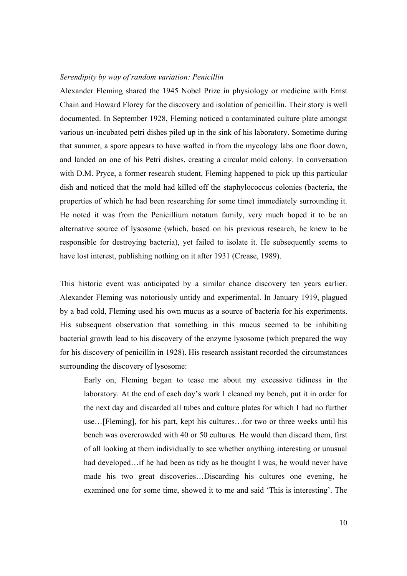#### *Serendipity by way of random variation: Penicillin*

Alexander Fleming shared the 1945 Nobel Prize in physiology or medicine with Ernst Chain and Howard Florey for the discovery and isolation of penicillin. Their story is well documented. In September 1928, Fleming noticed a contaminated culture plate amongst various un-incubated petri dishes piled up in the sink of his laboratory. Sometime during that summer, a spore appears to have wafted in from the mycology labs one floor down, and landed on one of his Petri dishes, creating a circular mold colony. In conversation with D.M. Pryce, a former research student, Fleming happened to pick up this particular dish and noticed that the mold had killed off the staphylococcus colonies (bacteria, the properties of which he had been researching for some time) immediately surrounding it. He noted it was from the Penicillium notatum family, very much hoped it to be an alternative source of lysosome (which, based on his previous research, he knew to be responsible for destroying bacteria), yet failed to isolate it. He subsequently seems to have lost interest, publishing nothing on it after 1931 (Crease, 1989).

This historic event was anticipated by a similar chance discovery ten years earlier. Alexander Fleming was notoriously untidy and experimental. In January 1919, plagued by a bad cold, Fleming used his own mucus as a source of bacteria for his experiments. His subsequent observation that something in this mucus seemed to be inhibiting bacterial growth lead to his discovery of the enzyme lysosome (which prepared the way for his discovery of penicillin in 1928). His research assistant recorded the circumstances surrounding the discovery of lysosome:

Early on, Fleming began to tease me about my excessive tidiness in the laboratory. At the end of each day's work I cleaned my bench, put it in order for the next day and discarded all tubes and culture plates for which I had no further use…[Fleming], for his part, kept his cultures…for two or three weeks until his bench was overcrowded with 40 or 50 cultures. He would then discard them, first of all looking at them individually to see whether anything interesting or unusual had developed…if he had been as tidy as he thought I was, he would never have made his two great discoveries…Discarding his cultures one evening, he examined one for some time, showed it to me and said 'This is interesting'. The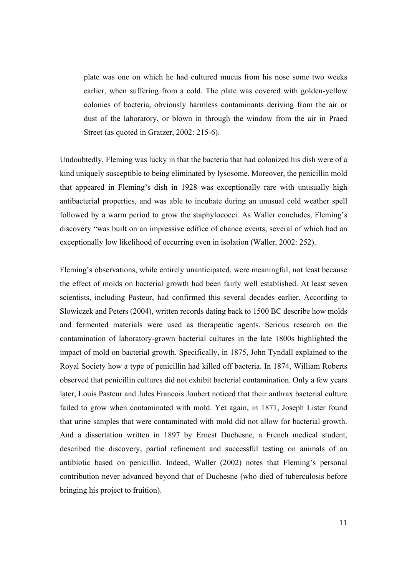plate was one on which he had cultured mucus from his nose some two weeks earlier, when suffering from a cold. The plate was covered with golden-yellow colonies of bacteria, obviously harmless contaminants deriving from the air or dust of the laboratory, or blown in through the window from the air in Praed Street (as quoted in Gratzer, 2002: 215-6).

Undoubtedly, Fleming was lucky in that the bacteria that had colonized his dish were of a kind uniquely susceptible to being eliminated by lysosome. Moreover, the penicillin mold that appeared in Fleming's dish in 1928 was exceptionally rare with unusually high antibacterial properties, and was able to incubate during an unusual cold weather spell followed by a warm period to grow the staphylococci. As Waller concludes, Fleming's discovery "was built on an impressive edifice of chance events, several of which had an exceptionally low likelihood of occurring even in isolation (Waller, 2002: 252).

Fleming's observations, while entirely unanticipated, were meaningful, not least because the effect of molds on bacterial growth had been fairly well established. At least seven scientists, including Pasteur, had confirmed this several decades earlier. According to Slowiczek and Peters (2004), written records dating back to 1500 BC describe how molds and fermented materials were used as therapeutic agents. Serious research on the contamination of laboratory-grown bacterial cultures in the late 1800s highlighted the impact of mold on bacterial growth. Specifically, in 1875, John Tyndall explained to the Royal Society how a type of penicillin had killed off bacteria. In 1874, William Roberts observed that penicillin cultures did not exhibit bacterial contamination. Only a few years later, Louis Pasteur and Jules Francois Joubert noticed that their anthrax bacterial culture failed to grow when contaminated with mold. Yet again, in 1871, Joseph Lister found that urine samples that were contaminated with mold did not allow for bacterial growth. And a dissertation written in 1897 by Ernest Duchesne, a French medical student, described the discovery, partial refinement and successful testing on animals of an antibiotic based on penicillin. Indeed, Waller (2002) notes that Fleming's personal contribution never advanced beyond that of Duchesne (who died of tuberculosis before bringing his project to fruition).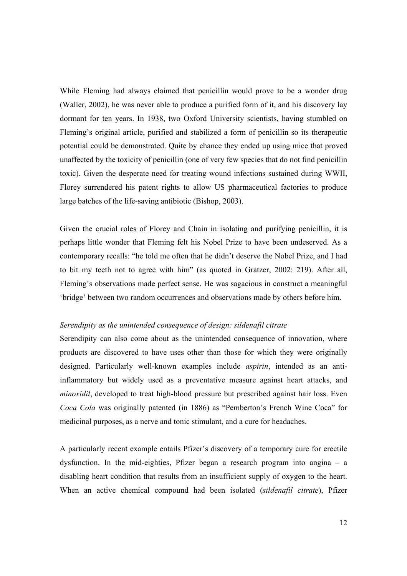While Fleming had always claimed that penicillin would prove to be a wonder drug (Waller, 2002), he was never able to produce a purified form of it, and his discovery lay dormant for ten years. In 1938, two Oxford University scientists, having stumbled on Fleming's original article, purified and stabilized a form of penicillin so its therapeutic potential could be demonstrated. Quite by chance they ended up using mice that proved unaffected by the toxicity of penicillin (one of very few species that do not find penicillin toxic). Given the desperate need for treating wound infections sustained during WWII, Florey surrendered his patent rights to allow US pharmaceutical factories to produce large batches of the life-saving antibiotic (Bishop, 2003).

Given the crucial roles of Florey and Chain in isolating and purifying penicillin, it is perhaps little wonder that Fleming felt his Nobel Prize to have been undeserved. As a contemporary recalls: "he told me often that he didn't deserve the Nobel Prize, and I had to bit my teeth not to agree with him" (as quoted in Gratzer, 2002: 219). After all, Fleming's observations made perfect sense. He was sagacious in construct a meaningful 'bridge' between two random occurrences and observations made by others before him.

#### *Serendipity as the unintended consequence of design: sildenafil citrate*

Serendipity can also come about as the unintended consequence of innovation, where products are discovered to have uses other than those for which they were originally designed. Particularly well-known examples include *aspirin*, intended as an antiinflammatory but widely used as a preventative measure against heart attacks, and *minoxidil*, developed to treat high-blood pressure but prescribed against hair loss. Even *Coca Cola* was originally patented (in 1886) as "Pemberton's French Wine Coca" for medicinal purposes, as a nerve and tonic stimulant, and a cure for headaches.

A particularly recent example entails Pfizer's discovery of a temporary cure for erectile dysfunction. In the mid-eighties, Pfizer began a research program into angina – a disabling heart condition that results from an insufficient supply of oxygen to the heart. When an active chemical compound had been isolated (*sildenafil citrate*), Pfizer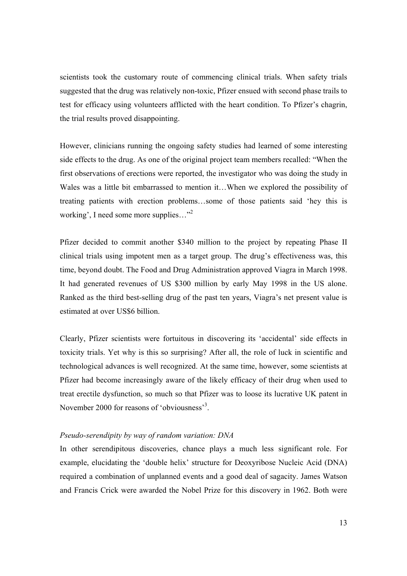scientists took the customary route of commencing clinical trials. When safety trials suggested that the drug was relatively non-toxic, Pfizer ensued with second phase trails to test for efficacy using volunteers afflicted with the heart condition. To Pfizer's chagrin, the trial results proved disappointing.

However, clinicians running the ongoing safety studies had learned of some interesting side effects to the drug. As one of the original project team members recalled: "When the first observations of erections were reported, the investigator who was doing the study in Wales was a little bit embarrassed to mention it…When we explored the possibility of treating patients with erection problems…some of those patients said 'hey this is working', I need some more supplies..."<sup>2</sup>

Pfizer decided to commit another \$340 million to the project by repeating Phase II clinical trials using impotent men as a target group. The drug's effectiveness was, this time, beyond doubt. The Food and Drug Administration approved Viagra in March 1998. It had generated revenues of US \$300 million by early May 1998 in the US alone. Ranked as the third best-selling drug of the past ten years, Viagra's net present value is estimated at over US\$6 billion.

Clearly, Pfizer scientists were fortuitous in discovering its 'accidental' side effects in toxicity trials. Yet why is this so surprising? After all, the role of luck in scientific and technological advances is well recognized. At the same time, however, some scientists at Pfizer had become increasingly aware of the likely efficacy of their drug when used to treat erectile dysfunction, so much so that Pfizer was to loose its lucrative UK patent in November 2000 for reasons of 'obviousness'<sup>3</sup>.

#### *Pseudo-serendipity by way of random variation: DNA*

In other serendipitous discoveries, chance plays a much less significant role. For example, elucidating the 'double helix' structure for Deoxyribose Nucleic Acid (DNA) required a combination of unplanned events and a good deal of sagacity. James Watson and Francis Crick were awarded the Nobel Prize for this discovery in 1962. Both were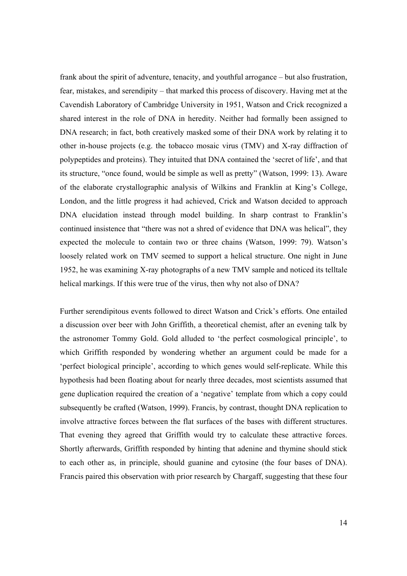frank about the spirit of adventure, tenacity, and youthful arrogance – but also frustration, fear, mistakes, and serendipity – that marked this process of discovery. Having met at the Cavendish Laboratory of Cambridge University in 1951, Watson and Crick recognized a shared interest in the role of DNA in heredity. Neither had formally been assigned to DNA research; in fact, both creatively masked some of their DNA work by relating it to other in-house projects (e.g. the tobacco mosaic virus (TMV) and X-ray diffraction of polypeptides and proteins). They intuited that DNA contained the 'secret of life', and that its structure, "once found, would be simple as well as pretty" (Watson, 1999: 13). Aware of the elaborate crystallographic analysis of Wilkins and Franklin at King's College, London, and the little progress it had achieved, Crick and Watson decided to approach DNA elucidation instead through model building. In sharp contrast to Franklin's continued insistence that "there was not a shred of evidence that DNA was helical", they expected the molecule to contain two or three chains (Watson, 1999: 79). Watson's loosely related work on TMV seemed to support a helical structure. One night in June 1952, he was examining X-ray photographs of a new TMV sample and noticed its telltale helical markings. If this were true of the virus, then why not also of DNA?

Further serendipitous events followed to direct Watson and Crick's efforts. One entailed a discussion over beer with John Griffith, a theoretical chemist, after an evening talk by the astronomer Tommy Gold. Gold alluded to 'the perfect cosmological principle', to which Griffith responded by wondering whether an argument could be made for a 'perfect biological principle', according to which genes would self-replicate. While this hypothesis had been floating about for nearly three decades, most scientists assumed that gene duplication required the creation of a 'negative' template from which a copy could subsequently be crafted (Watson, 1999). Francis, by contrast, thought DNA replication to involve attractive forces between the flat surfaces of the bases with different structures. That evening they agreed that Griffith would try to calculate these attractive forces. Shortly afterwards, Griffith responded by hinting that adenine and thymine should stick to each other as, in principle, should guanine and cytosine (the four bases of DNA). Francis paired this observation with prior research by Chargaff, suggesting that these four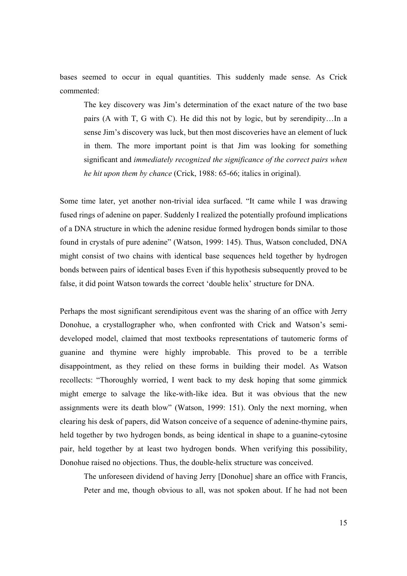bases seemed to occur in equal quantities. This suddenly made sense. As Crick commented:

The key discovery was Jim's determination of the exact nature of the two base pairs (A with T, G with C). He did this not by logic, but by serendipity…In a sense Jim's discovery was luck, but then most discoveries have an element of luck in them. The more important point is that Jim was looking for something significant and *immediately recognized the significance of the correct pairs when he hit upon them by chance* (Crick, 1988: 65-66; italics in original).

Some time later, yet another non-trivial idea surfaced. "It came while I was drawing fused rings of adenine on paper. Suddenly I realized the potentially profound implications of a DNA structure in which the adenine residue formed hydrogen bonds similar to those found in crystals of pure adenine" (Watson, 1999: 145). Thus, Watson concluded, DNA might consist of two chains with identical base sequences held together by hydrogen bonds between pairs of identical bases Even if this hypothesis subsequently proved to be false, it did point Watson towards the correct 'double helix' structure for DNA.

Perhaps the most significant serendipitous event was the sharing of an office with Jerry Donohue, a crystallographer who, when confronted with Crick and Watson's semideveloped model, claimed that most textbooks representations of tautomeric forms of guanine and thymine were highly improbable. This proved to be a terrible disappointment, as they relied on these forms in building their model. As Watson recollects: "Thoroughly worried, I went back to my desk hoping that some gimmick might emerge to salvage the like-with-like idea. But it was obvious that the new assignments were its death blow" (Watson, 1999: 151). Only the next morning, when clearing his desk of papers, did Watson conceive of a sequence of adenine-thymine pairs, held together by two hydrogen bonds, as being identical in shape to a guanine-cytosine pair, held together by at least two hydrogen bonds. When verifying this possibility, Donohue raised no objections. Thus, the double-helix structure was conceived.

The unforeseen dividend of having Jerry [Donohue] share an office with Francis, Peter and me, though obvious to all, was not spoken about. If he had not been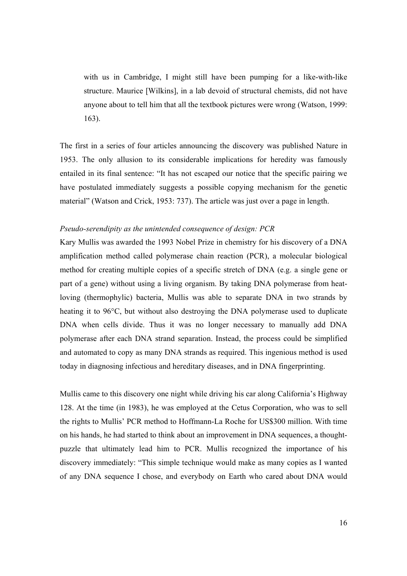with us in Cambridge, I might still have been pumping for a like-with-like structure. Maurice [Wilkins], in a lab devoid of structural chemists, did not have anyone about to tell him that all the textbook pictures were wrong (Watson, 1999: 163).

The first in a series of four articles announcing the discovery was published Nature in 1953. The only allusion to its considerable implications for heredity was famously entailed in its final sentence: "It has not escaped our notice that the specific pairing we have postulated immediately suggests a possible copying mechanism for the genetic material" (Watson and Crick, 1953: 737). The article was just over a page in length.

#### *Pseudo-serendipity as the unintended consequence of design: PCR*

Kary Mullis was awarded the 1993 Nobel Prize in chemistry for his discovery of a DNA amplification method called polymerase chain reaction (PCR), a molecular biological method for creating multiple copies of a specific stretch of DNA (e.g. a single gene or part of a gene) without using a living organism. By taking DNA polymerase from heatloving (thermophylic) bacteria, Mullis was able to separate DNA in two strands by heating it to 96°C, but without also destroying the DNA polymerase used to duplicate DNA when cells divide. Thus it was no longer necessary to manually add DNA polymerase after each DNA strand separation. Instead, the process could be simplified and automated to copy as many DNA strands as required. This ingenious method is used today in diagnosing infectious and hereditary diseases, and in DNA fingerprinting.

Mullis came to this discovery one night while driving his car along California's Highway 128. At the time (in 1983), he was employed at the Cetus Corporation, who was to sell the rights to Mullis' PCR method to Hoffmann-La Roche for US\$300 million. With time on his hands, he had started to think about an improvement in DNA sequences, a thoughtpuzzle that ultimately lead him to PCR. Mullis recognized the importance of his discovery immediately: "This simple technique would make as many copies as I wanted of any DNA sequence I chose, and everybody on Earth who cared about DNA would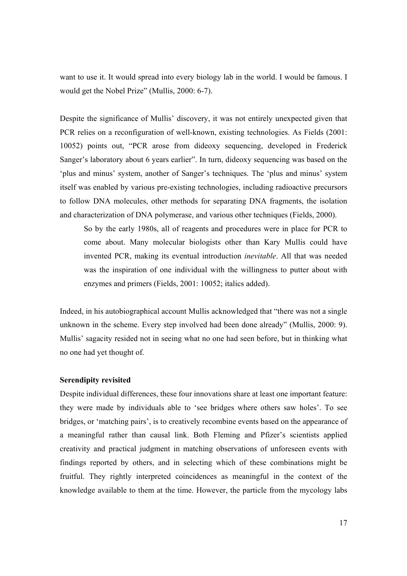want to use it. It would spread into every biology lab in the world. I would be famous. I would get the Nobel Prize" (Mullis, 2000: 6-7).

Despite the significance of Mullis' discovery, it was not entirely unexpected given that PCR relies on a reconfiguration of well-known, existing technologies. As Fields (2001: 10052) points out, "PCR arose from dideoxy sequencing, developed in Frederick Sanger's laboratory about 6 years earlier". In turn, dideoxy sequencing was based on the 'plus and minus' system, another of Sanger's techniques. The 'plus and minus' system itself was enabled by various pre-existing technologies, including radioactive precursors to follow DNA molecules, other methods for separating DNA fragments, the isolation and characterization of DNA polymerase, and various other techniques (Fields, 2000).

So by the early 1980s, all of reagents and procedures were in place for PCR to come about. Many molecular biologists other than Kary Mullis could have invented PCR, making its eventual introduction *inevitable*. All that was needed was the inspiration of one individual with the willingness to putter about with enzymes and primers (Fields, 2001: 10052; italics added).

Indeed, in his autobiographical account Mullis acknowledged that "there was not a single unknown in the scheme. Every step involved had been done already" (Mullis, 2000: 9). Mullis' sagacity resided not in seeing what no one had seen before, but in thinking what no one had yet thought of.

#### **Serendipity revisited**

Despite individual differences, these four innovations share at least one important feature: they were made by individuals able to 'see bridges where others saw holes'. To see bridges, or 'matching pairs', is to creatively recombine events based on the appearance of a meaningful rather than causal link. Both Fleming and Pfizer's scientists applied creativity and practical judgment in matching observations of unforeseen events with findings reported by others, and in selecting which of these combinations might be fruitful. They rightly interpreted coincidences as meaningful in the context of the knowledge available to them at the time. However, the particle from the mycology labs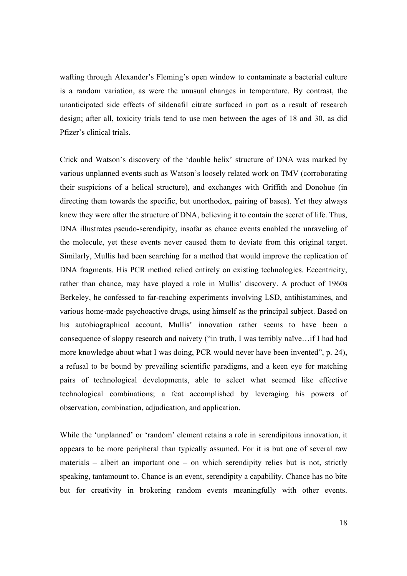wafting through Alexander's Fleming's open window to contaminate a bacterial culture is a random variation, as were the unusual changes in temperature. By contrast, the unanticipated side effects of sildenafil citrate surfaced in part as a result of research design; after all, toxicity trials tend to use men between the ages of 18 and 30, as did Pfizer's clinical trials.

Crick and Watson's discovery of the 'double helix' structure of DNA was marked by various unplanned events such as Watson's loosely related work on TMV (corroborating their suspicions of a helical structure), and exchanges with Griffith and Donohue (in directing them towards the specific, but unorthodox, pairing of bases). Yet they always knew they were after the structure of DNA, believing it to contain the secret of life. Thus, DNA illustrates pseudo-serendipity, insofar as chance events enabled the unraveling of the molecule, yet these events never caused them to deviate from this original target. Similarly, Mullis had been searching for a method that would improve the replication of DNA fragments. His PCR method relied entirely on existing technologies. Eccentricity, rather than chance, may have played a role in Mullis' discovery. A product of 1960s Berkeley, he confessed to far-reaching experiments involving LSD, antihistamines, and various home-made psychoactive drugs, using himself as the principal subject. Based on his autobiographical account, Mullis' innovation rather seems to have been a consequence of sloppy research and naivety ("in truth, I was terribly naïve…if I had had more knowledge about what I was doing, PCR would never have been invented", p. 24), a refusal to be bound by prevailing scientific paradigms, and a keen eye for matching pairs of technological developments, able to select what seemed like effective technological combinations; a feat accomplished by leveraging his powers of observation, combination, adjudication, and application.

While the 'unplanned' or 'random' element retains a role in serendipitous innovation, it appears to be more peripheral than typically assumed. For it is but one of several raw materials – albeit an important one – on which serendipity relies but is not, strictly speaking, tantamount to. Chance is an event, serendipity a capability. Chance has no bite but for creativity in brokering random events meaningfully with other events.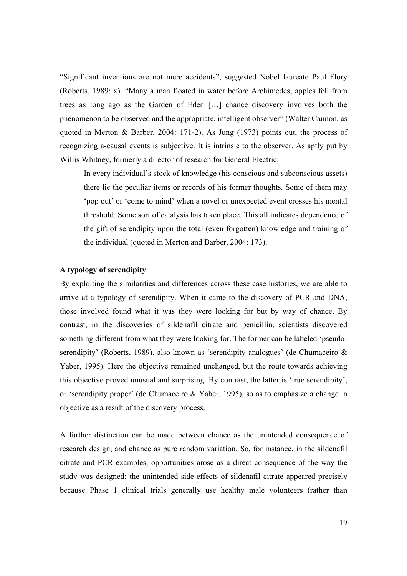"Significant inventions are not mere accidents", suggested Nobel laureate Paul Flory (Roberts, 1989: x). "Many a man floated in water before Archimedes; apples fell from trees as long ago as the Garden of Eden […] chance discovery involves both the phenomenon to be observed and the appropriate, intelligent observer" (Walter Cannon, as quoted in Merton & Barber, 2004: 171-2). As Jung (1973) points out, the process of recognizing a-causal events is subjective. It is intrinsic to the observer. As aptly put by Willis Whitney, formerly a director of research for General Electric:

In every individual's stock of knowledge (his conscious and subconscious assets) there lie the peculiar items or records of his former thoughts. Some of them may 'pop out' or 'come to mind' when a novel or unexpected event crosses his mental threshold. Some sort of catalysis has taken place. This all indicates dependence of the gift of serendipity upon the total (even forgotten) knowledge and training of the individual (quoted in Merton and Barber, 2004: 173).

#### **A typology of serendipity**

By exploiting the similarities and differences across these case histories, we are able to arrive at a typology of serendipity. When it came to the discovery of PCR and DNA, those involved found what it was they were looking for but by way of chance. By contrast, in the discoveries of sildenafil citrate and penicillin, scientists discovered something different from what they were looking for. The former can be labeled 'pseudoserendipity' (Roberts, 1989), also known as 'serendipity analogues' (de Chumaceiro & Yaber, 1995). Here the objective remained unchanged, but the route towards achieving this objective proved unusual and surprising. By contrast, the latter is 'true serendipity', or 'serendipity proper' (de Chumaceiro & Yaber, 1995), so as to emphasize a change in objective as a result of the discovery process.

A further distinction can be made between chance as the unintended consequence of research design, and chance as pure random variation. So, for instance, in the sildenafil citrate and PCR examples, opportunities arose as a direct consequence of the way the study was designed: the unintended side-effects of sildenafil citrate appeared precisely because Phase 1 clinical trials generally use healthy male volunteers (rather than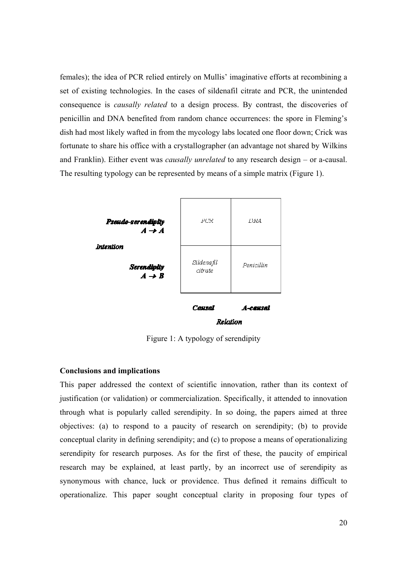females); the idea of PCR relied entirely on Mullis' imaginative efforts at recombining a set of existing technologies. In the cases of sildenafil citrate and PCR, the unintended consequence is *causally related* to a design process. By contrast, the discoveries of penicillin and DNA benefited from random chance occurrences: the spore in Fleming's dish had most likely wafted in from the mycology labs located one floor down; Crick was fortunate to share his office with a crystallographer (an advantage not shared by Wilkins and Franklin). Either event was *causally unrelated* to any research design – or a-causal. The resulting typology can be represented by means of a simple matrix (Figure 1).



Figure 1: A typology of serendipity

#### **Conclusions and implications**

This paper addressed the context of scientific innovation, rather than its context of justification (or validation) or commercialization. Specifically, it attended to innovation through what is popularly called serendipity. In so doing, the papers aimed at three objectives: (a) to respond to a paucity of research on serendipity; (b) to provide conceptual clarity in defining serendipity; and (c) to propose a means of operationalizing serendipity for research purposes. As for the first of these, the paucity of empirical research may be explained, at least partly, by an incorrect use of serendipity as synonymous with chance, luck or providence. Thus defined it remains difficult to operationalize. This paper sought conceptual clarity in proposing four types of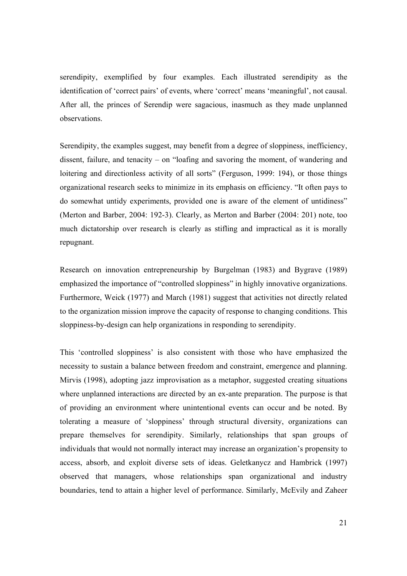serendipity, exemplified by four examples. Each illustrated serendipity as the identification of 'correct pairs' of events, where 'correct' means 'meaningful', not causal. After all, the princes of Serendip were sagacious, inasmuch as they made unplanned observations.

Serendipity, the examples suggest, may benefit from a degree of sloppiness, inefficiency, dissent, failure, and tenacity – on "loafing and savoring the moment, of wandering and loitering and directionless activity of all sorts" (Ferguson, 1999: 194), or those things organizational research seeks to minimize in its emphasis on efficiency. "It often pays to do somewhat untidy experiments, provided one is aware of the element of untidiness" (Merton and Barber, 2004: 192-3). Clearly, as Merton and Barber (2004: 201) note, too much dictatorship over research is clearly as stifling and impractical as it is morally repugnant.

Research on innovation entrepreneurship by Burgelman (1983) and Bygrave (1989) emphasized the importance of "controlled sloppiness" in highly innovative organizations. Furthermore, Weick (1977) and March (1981) suggest that activities not directly related to the organization mission improve the capacity of response to changing conditions. This sloppiness-by-design can help organizations in responding to serendipity.

This 'controlled sloppiness' is also consistent with those who have emphasized the necessity to sustain a balance between freedom and constraint, emergence and planning. Mirvis (1998), adopting jazz improvisation as a metaphor, suggested creating situations where unplanned interactions are directed by an ex-ante preparation. The purpose is that of providing an environment where unintentional events can occur and be noted. By tolerating a measure of 'sloppiness' through structural diversity, organizations can prepare themselves for serendipity. Similarly, relationships that span groups of individuals that would not normally interact may increase an organization's propensity to access, absorb, and exploit diverse sets of ideas. Geletkanycz and Hambrick (1997) observed that managers, whose relationships span organizational and industry boundaries, tend to attain a higher level of performance. Similarly, McEvily and Zaheer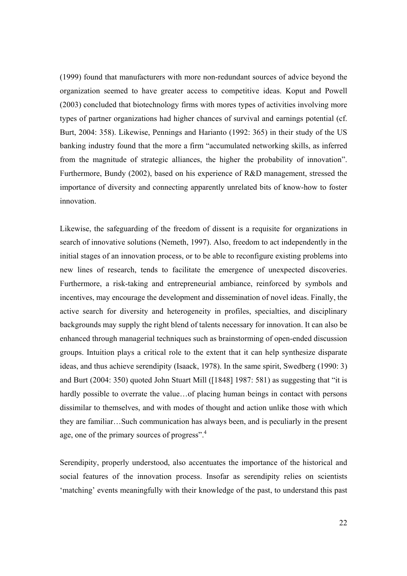(1999) found that manufacturers with more non-redundant sources of advice beyond the organization seemed to have greater access to competitive ideas. Koput and Powell (2003) concluded that biotechnology firms with mores types of activities involving more types of partner organizations had higher chances of survival and earnings potential (cf. Burt, 2004: 358). Likewise, Pennings and Harianto (1992: 365) in their study of the US banking industry found that the more a firm "accumulated networking skills, as inferred from the magnitude of strategic alliances, the higher the probability of innovation". Furthermore, Bundy (2002), based on his experience of R&D management, stressed the importance of diversity and connecting apparently unrelated bits of know-how to foster innovation.

Likewise, the safeguarding of the freedom of dissent is a requisite for organizations in search of innovative solutions (Nemeth, 1997). Also, freedom to act independently in the initial stages of an innovation process, or to be able to reconfigure existing problems into new lines of research, tends to facilitate the emergence of unexpected discoveries. Furthermore, a risk-taking and entrepreneurial ambiance, reinforced by symbols and incentives, may encourage the development and dissemination of novel ideas. Finally, the active search for diversity and heterogeneity in profiles, specialties, and disciplinary backgrounds may supply the right blend of talents necessary for innovation. It can also be enhanced through managerial techniques such as brainstorming of open-ended discussion groups. Intuition plays a critical role to the extent that it can help synthesize disparate ideas, and thus achieve serendipity (Isaack, 1978). In the same spirit, Swedberg (1990: 3) and Burt (2004: 350) quoted John Stuart Mill ([1848] 1987: 581) as suggesting that "it is hardly possible to overrate the value... of placing human beings in contact with persons dissimilar to themselves, and with modes of thought and action unlike those with which they are familiar…Such communication has always been, and is peculiarly in the present age, one of the primary sources of progress".<sup>4</sup>

Serendipity, properly understood, also accentuates the importance of the historical and social features of the innovation process. Insofar as serendipity relies on scientists 'matching' events meaningfully with their knowledge of the past, to understand this past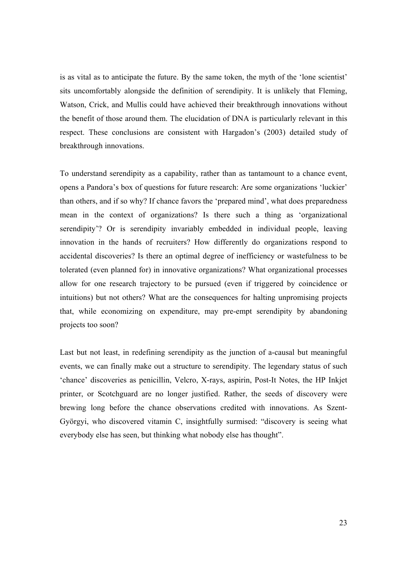is as vital as to anticipate the future. By the same token, the myth of the 'lone scientist' sits uncomfortably alongside the definition of serendipity. It is unlikely that Fleming, Watson, Crick, and Mullis could have achieved their breakthrough innovations without the benefit of those around them. The elucidation of DNA is particularly relevant in this respect. These conclusions are consistent with Hargadon's (2003) detailed study of breakthrough innovations.

To understand serendipity as a capability, rather than as tantamount to a chance event, opens a Pandora's box of questions for future research: Are some organizations 'luckier' than others, and if so why? If chance favors the 'prepared mind', what does preparedness mean in the context of organizations? Is there such a thing as 'organizational serendipity'? Or is serendipity invariably embedded in individual people, leaving innovation in the hands of recruiters? How differently do organizations respond to accidental discoveries? Is there an optimal degree of inefficiency or wastefulness to be tolerated (even planned for) in innovative organizations? What organizational processes allow for one research trajectory to be pursued (even if triggered by coincidence or intuitions) but not others? What are the consequences for halting unpromising projects that, while economizing on expenditure, may pre-empt serendipity by abandoning projects too soon?

Last but not least, in redefining serendipity as the junction of a-causal but meaningful events, we can finally make out a structure to serendipity. The legendary status of such 'chance' discoveries as penicillin, Velcro, X-rays, aspirin, Post-It Notes, the HP Inkjet printer, or Scotchguard are no longer justified. Rather, the seeds of discovery were brewing long before the chance observations credited with innovations. As Szent-Györgyi, who discovered vitamin C, insightfully surmised: "discovery is seeing what everybody else has seen, but thinking what nobody else has thought".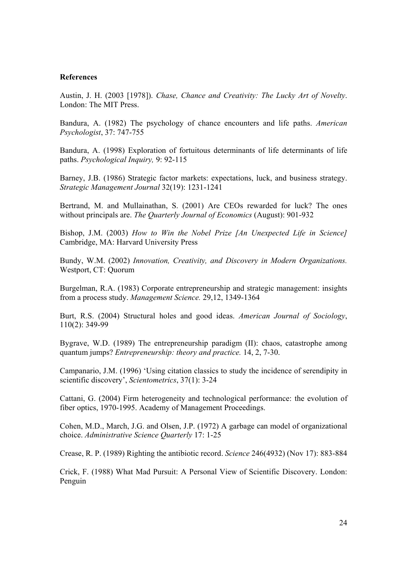#### **References**

Austin, J. H. (2003 [1978]). *Chase, Chance and Creativity: The Lucky Art of Novelty*. London: The MIT Press.

Bandura, A. (1982) The psychology of chance encounters and life paths. *American Psychologist*, 37: 747-755

Bandura, A. (1998) Exploration of fortuitous determinants of life determinants of life paths. *Psychological Inquiry,* 9: 92-115

Barney, J.B. (1986) Strategic factor markets: expectations, luck, and business strategy. *Strategic Management Journal* 32(19): 1231-1241

Bertrand, M. and Mullainathan, S. (2001) Are CEOs rewarded for luck? The ones without principals are. *The Quarterly Journal of Economics* (August): 901-932

Bishop, J.M. (2003) *How to Win the Nobel Prize [An Unexpected Life in Science]*  Cambridge, MA: Harvard University Press

Bundy, W.M. (2002) *Innovation, Creativity, and Discovery in Modern Organizations.*  Westport, CT: Quorum

Burgelman, R.A. (1983) Corporate entrepreneurship and strategic management: insights from a process study. *Management Science.* 29,12, 1349-1364

Burt, R.S. (2004) Structural holes and good ideas. *American Journal of Sociology*, 110(2): 349-99

Bygrave, W.D. (1989) The entrepreneurship paradigm (II): chaos, catastrophe among quantum jumps? *Entrepreneurship: theory and practice.* 14, 2, 7-30.

Campanario, J.M. (1996) 'Using citation classics to study the incidence of serendipity in scientific discovery', *Scientometrics*, 37(1): 3-24

Cattani, G. (2004) Firm heterogeneity and technological performance: the evolution of fiber optics, 1970-1995. Academy of Management Proceedings.

Cohen, M.D., March, J.G. and Olsen, J.P. (1972) A garbage can model of organizational choice. *Administrative Science Quarterly* 17: 1-25

Crease, R. P. (1989) Righting the antibiotic record. *Science* 246(4932) (Nov 17): 883-884

Crick, F. (1988) What Mad Pursuit: A Personal View of Scientific Discovery. London: Penguin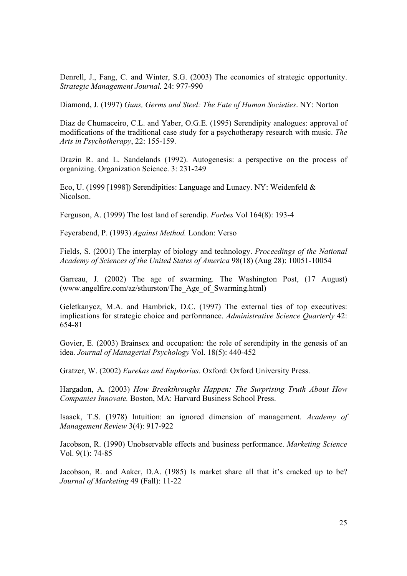Denrell, J., Fang, C. and Winter, S.G. (2003) The economics of strategic opportunity. *Strategic Management Journal.* 24: 977-990

Diamond, J. (1997) *Guns, Germs and Steel: The Fate of Human Societies*. NY: Norton

Diaz de Chumaceiro, C.L. and Yaber, O.G.E. (1995) Serendipity analogues: approval of modifications of the traditional case study for a psychotherapy research with music. *The Arts in Psychotherapy*, 22: 155-159.

Drazin R. and L. Sandelands (1992). Autogenesis: a perspective on the process of organizing. Organization Science. 3: 231-249

Eco, U. (1999 [1998]) Serendipities: Language and Lunacy. NY: Weidenfeld & Nicolson.

Ferguson, A. (1999) The lost land of serendip. *Forbes* Vol 164(8): 193-4

Feyerabend, P. (1993) *Against Method.* London: Verso

Fields, S. (2001) The interplay of biology and technology. *Proceedings of the National Academy of Sciences of the United States of America* 98(18) (Aug 28): 10051-10054

Garreau, J. (2002) The age of swarming. The Washington Post, (17 August) (www.angelfire.com/az/sthurston/The\_Age\_of\_Swarming.html)

Geletkanycz, M.A. and Hambrick, D.C. (1997) The external ties of top executives: implications for strategic choice and performance. *Administrative Science Quarterly* 42: 654-81

Govier, E. (2003) Brainsex and occupation: the role of serendipity in the genesis of an idea. *Journal of Managerial Psychology* Vol. 18(5): 440-452

Gratzer, W. (2002) *Eurekas and Euphorias*. Oxford: Oxford University Press.

Hargadon, A. (2003) *How Breakthroughs Happen: The Surprising Truth About How Companies Innovate.* Boston, MA: Harvard Business School Press.

Isaack, T.S. (1978) Intuition: an ignored dimension of management. *Academy of Management Review* 3(4): 917-922

Jacobson, R. (1990) Unobservable effects and business performance. *Marketing Science* Vol. 9(1): 74-85

Jacobson, R. and Aaker, D.A. (1985) Is market share all that it's cracked up to be? *Journal of Marketing* 49 (Fall): 11-22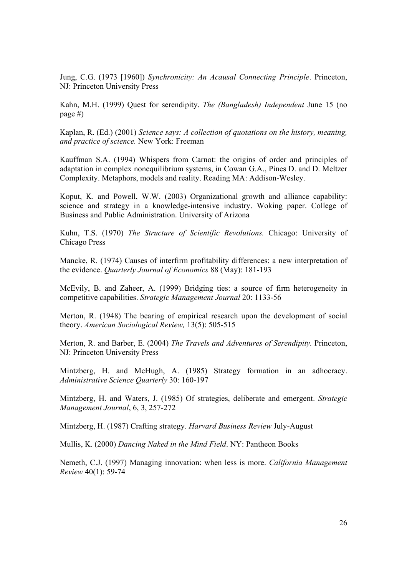Jung, C.G. (1973 [1960]) *Synchronicity: An Acausal Connecting Principle*. Princeton, NJ: Princeton University Press

Kahn, M.H. (1999) Quest for serendipity. *The (Bangladesh) Independent* June 15 (no page #)

Kaplan, R. (Ed.) (2001) *Science says: A collection of quotations on the history, meaning, and practice of science.* New York: Freeman

Kauffman S.A. (1994) Whispers from Carnot: the origins of order and principles of adaptation in complex nonequilibrium systems, in Cowan G.A., Pines D. and D. Meltzer Complexity. Metaphors, models and reality. Reading MA: Addison-Wesley.

Koput, K. and Powell, W.W. (2003) Organizational growth and alliance capability: science and strategy in a knowledge-intensive industry. Woking paper. College of Business and Public Administration. University of Arizona

Kuhn, T.S. (1970) *The Structure of Scientific Revolutions.* Chicago: University of Chicago Press

Mancke, R. (1974) Causes of interfirm profitability differences: a new interpretation of the evidence. *Quarterly Journal of Economics* 88 (May): 181-193

McEvily, B. and Zaheer, A. (1999) Bridging ties: a source of firm heterogeneity in competitive capabilities. *Strategic Management Journal* 20: 1133-56

Merton, R. (1948) The bearing of empirical research upon the development of social theory. *American Sociological Review,* 13(5): 505-515

Merton, R. and Barber, E. (2004) *The Travels and Adventures of Serendipity.* Princeton, NJ: Princeton University Press

Mintzberg, H. and McHugh, A. (1985) Strategy formation in an adhocracy. *Administrative Science Quarterly* 30: 160-197

Mintzberg, H. and Waters, J. (1985) Of strategies, deliberate and emergent. *Strategic Management Journal*, 6, 3, 257-272

Mintzberg, H. (1987) Crafting strategy. *Harvard Business Review* July-August

Mullis, K. (2000) *Dancing Naked in the Mind Field*. NY: Pantheon Books

Nemeth, C.J. (1997) Managing innovation: when less is more. *California Management Review* 40(1): 59-74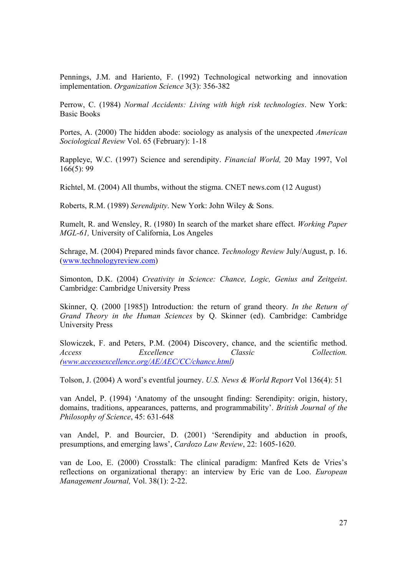Pennings, J.M. and Hariento, F. (1992) Technological networking and innovation implementation. *Organization Science* 3(3): 356-382

Perrow, C. (1984) *Normal Accidents: Living with high risk technologies*. New York: Basic Books

Portes, A. (2000) The hidden abode: sociology as analysis of the unexpected *American Sociological Review* Vol. 65 (February): 1-18

Rappleye, W.C. (1997) Science and serendipity. *Financial World,* 20 May 1997, Vol 166(5): 99

Richtel, M. (2004) All thumbs, without the stigma. CNET news.com (12 August)

Roberts, R.M. (1989) *Serendipity*. New York: John Wiley & Sons.

Rumelt, R. and Wensley, R. (1980) In search of the market share effect. *Working Paper MGL-61,* University of California, Los Angeles

Schrage, M. (2004) Prepared minds favor chance. *Technology Review* July/August, p. 16. (www.technologyreview.com)

Simonton, D.K. (2004) *Creativity in Science: Chance, Logic, Genius and Zeitgeist*. Cambridge: Cambridge University Press

Skinner, Q. (2000 [1985]) Introduction: the return of grand theory*. In the Return of Grand Theory in the Human Sciences* by Q. Skinner (ed). Cambridge: Cambridge University Press

Slowiczek, F. and Peters, P.M. (2004) Discovery, chance, and the scientific method. *Access Excellence Classic Collection. (www.accessexcellence.org/AE/AEC/CC/chance.html)* 

Tolson, J. (2004) A word's eventful journey. *U.S. News & World Report* Vol 136(4): 51

van Andel, P. (1994) 'Anatomy of the unsought finding: Serendipity: origin, history, domains, traditions, appearances, patterns, and programmability'. *British Journal of the Philosophy of Science*, 45: 631-648

van Andel, P. and Bourcier, D. (2001) 'Serendipity and abduction in proofs, presumptions, and emerging laws', *Cardozo Law Review*, 22: 1605-1620.

van de Loo, E. (2000) Crosstalk: The clinical paradigm: Manfred Kets de Vries's reflections on organizational therapy: an interview by Eric van de Loo. *European Management Journal,* Vol. 38(1): 2-22.